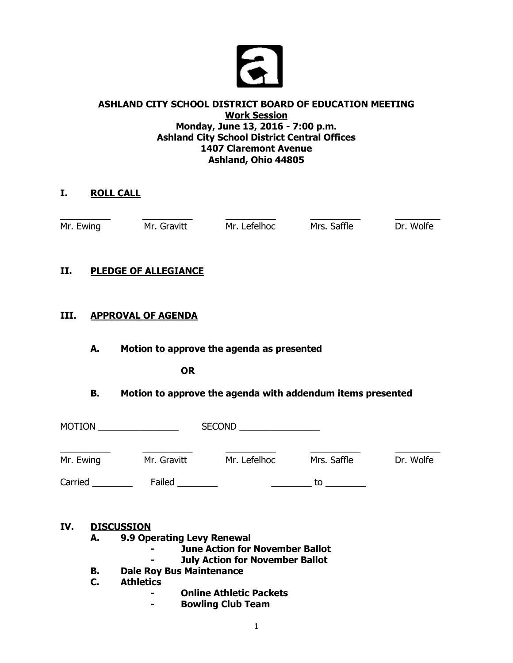

### **ASHLAND CITY SCHOOL DISTRICT BOARD OF EDUCATION MEETING Work Session Monday, June 13, 2016 - 7:00 p.m. Ashland City School District Central Offices 1407 Claremont Avenue Ashland, Ohio 44805**

## **I. ROLL CALL**

\_\_\_\_\_\_\_\_\_\_ \_\_\_\_\_\_\_\_\_\_ \_\_\_\_\_\_\_\_\_\_ \_\_\_\_\_\_\_\_\_\_ \_\_\_\_\_\_\_\_\_ Mr. Ewing Mr. Gravitt Mr. Lefelhoc Mrs. Saffle Dr. Wolfe

# **II. PLEDGE OF ALLEGIANCE**

## **III. APPROVAL OF AGENDA**

## **A. Motion to approve the agenda as presented**

**OR**

# **B. Motion to approve the agenda with addendum items presented**

| <b>MOTION</b> |             | <b>SECOND</b> |             |           |
|---------------|-------------|---------------|-------------|-----------|
| Mr. Ewing     | Mr. Gravitt | Mr. Lefelhoc  | Mrs. Saffle | Dr. Wolfe |
| Carried       | Failed      |               | tο          |           |

#### **IV. DISCUSSION**

**A. 9.9 Operating Levy Renewal** 

- **- June Action for November Ballot**
- **- July Action for November Ballot**
- **B. Dale Roy Bus Maintenance**
- **C. Athletics**
	- **- Online Athletic Packets**
	- **- Bowling Club Team**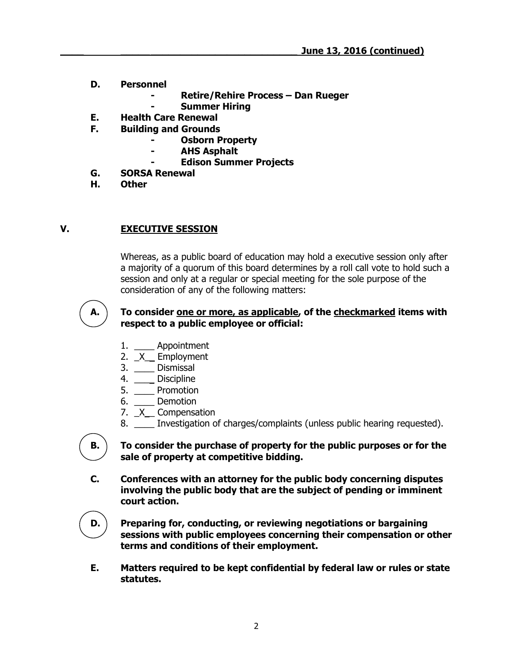- **D. Personnel**
	- **- Retire/Rehire Process – Dan Rueger**
	- **- Summer Hiring**
- **E. Health Care Renewal**
- **F. Building and Grounds**
	- **- Osborn Property**
	- **- AHS Asphalt**
	- **- Edison Summer Projects**
- **G. SORSA Renewal**
- **H. Other**

### **V. EXECUTIVE SESSION**

Whereas, as a public board of education may hold a executive session only after a majority of a quorum of this board determines by a roll call vote to hold such a session and only at a regular or special meeting for the sole purpose of the consideration of any of the following matters:



#### **A. To consider one or more, as applicable, of the checkmarked items with respect to a public employee or official:**

- 1. \_\_\_\_ Appointment
- 2. X Employment
- 3. \_\_\_\_ Dismissal
- 4. \_\_\_\_\_ Discipline
- 5. \_\_\_\_ Promotion
- 6. \_\_\_\_ Demotion
- 7. X Compensation
- 8. Investigation of charges/complaints (unless public hearing requested).

**B. To consider the purchase of property for the public purposes or for the sale of property at competitive bidding.**

**C. Conferences with an attorney for the public body concerning disputes involving the public body that are the subject of pending or imminent court action.**

**D. Preparing for, conducting, or reviewing negotiations or bargaining sessions with public employees concerning their compensation or other terms and conditions of their employment.**

**E. Matters required to be kept confidential by federal law or rules or state statutes.**